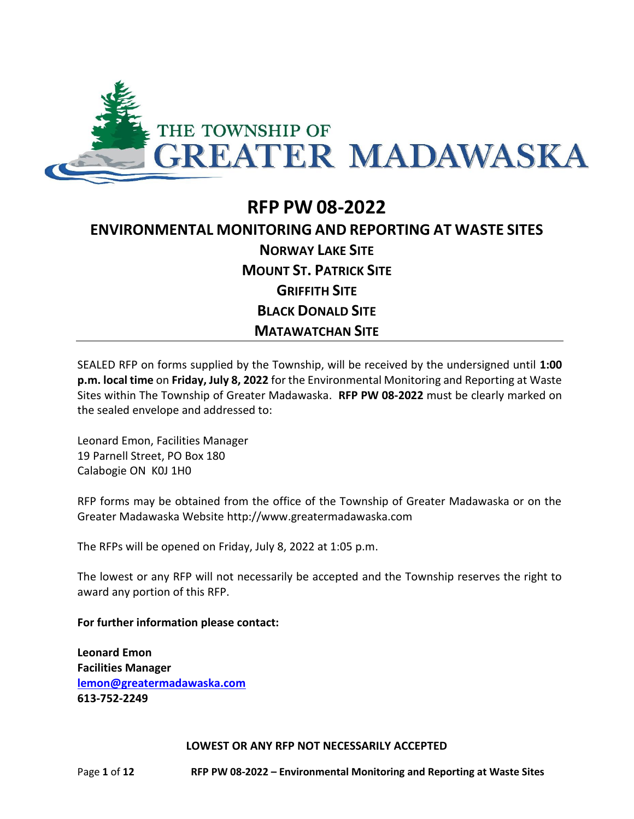

# **RFP PW 08-2022 ENVIRONMENTAL MONITORING AND REPORTING AT WASTE SITES NORWAY LAKE SITE MOUNT ST. PATRICK SITE GRIFFITH SITE BLACK DONALD SITE MATAWATCHAN SITE**

SEALED RFP on forms supplied by the Township, will be received by the undersigned until **1:00 p.m. local time** on **Friday, July 8, 2022** for the Environmental Monitoring and Reporting at Waste Sites within The Township of Greater Madawaska. **RFP PW 08-2022** must be clearly marked on the sealed envelope and addressed to:

Leonard Emon, Facilities Manager 19 Parnell Street, PO Box 180 Calabogie ON K0J 1H0

RFP forms may be obtained from the office of the Township of Greater Madawaska or on the Greater Madawaska Website http://www.greatermadawaska.com

The RFPs will be opened on Friday, July 8, 2022 at 1:05 p.m.

The lowest or any RFP will not necessarily be accepted and the Township reserves the right to award any portion of this RFP.

**For further information please contact:**

**Leonard Emon Facilities Manager [lemon@greatermadawaska.com](mailto:lemon@greatermadawaska.com) 613-752-2249**

**LOWEST OR ANY RFP NOT NECESSARILY ACCEPTED**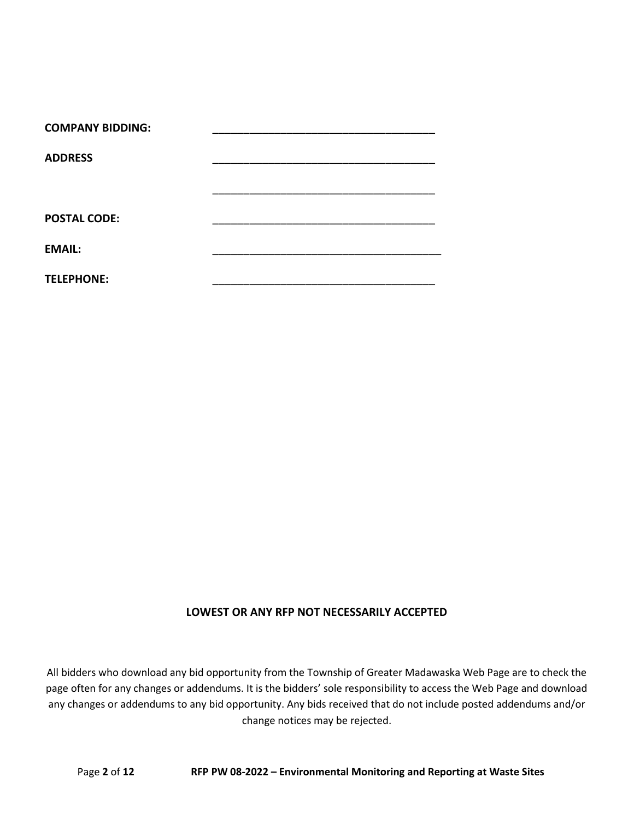| <b>COMPANY BIDDING:</b> |  |
|-------------------------|--|
| <b>ADDRESS</b>          |  |
|                         |  |
|                         |  |
| <b>POSTAL CODE:</b>     |  |
| <b>EMAIL:</b>           |  |
| <b>TELEPHONE:</b>       |  |
|                         |  |

# **LOWEST OR ANY RFP NOT NECESSARILY ACCEPTED**

All bidders who download any bid opportunity from the Township of Greater Madawaska Web Page are to check the page often for any changes or addendums. It is the bidders' sole responsibility to access the Web Page and download any changes or addendums to any bid opportunity. Any bids received that do not include posted addendums and/or change notices may be rejected.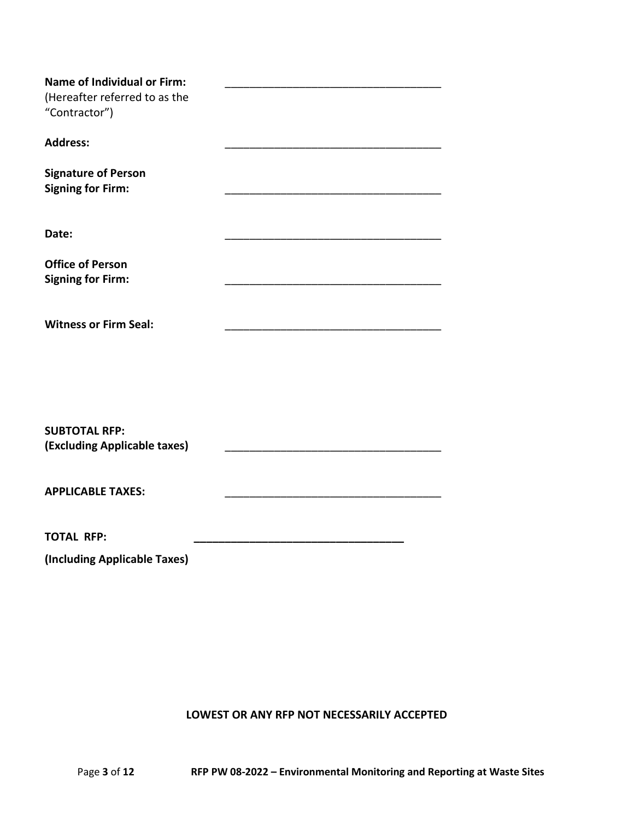| <b>Name of Individual or Firm:</b> |  |
|------------------------------------|--|
| (Hereafter referred to as the      |  |
| "Contractor")                      |  |
|                                    |  |
| <b>Address:</b>                    |  |
|                                    |  |
| <b>Signature of Person</b>         |  |
| <b>Signing for Firm:</b>           |  |
|                                    |  |
|                                    |  |
| Date:                              |  |
|                                    |  |
| <b>Office of Person</b>            |  |
| <b>Signing for Firm:</b>           |  |
|                                    |  |
|                                    |  |
| <b>Witness or Firm Seal:</b>       |  |
|                                    |  |
|                                    |  |
|                                    |  |
|                                    |  |
|                                    |  |
|                                    |  |
| <b>SUBTOTAL RFP:</b>               |  |
| (Excluding Applicable taxes)       |  |
|                                    |  |
|                                    |  |
| <b>APPLICABLE TAXES:</b>           |  |
|                                    |  |
| <b>TOTAL RFP:</b>                  |  |
|                                    |  |
| (Including Applicable Taxes)       |  |

# **LOWEST OR ANY RFP NOT NECESSARILY ACCEPTED**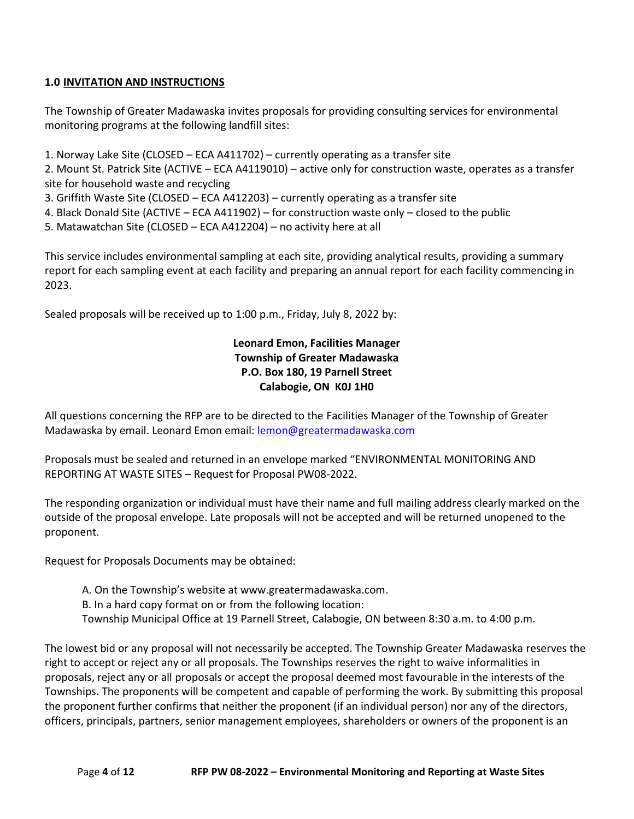# **1.0 INVITATION AND INSTRUCTIONS**

The Township of Greater Madawaska invites proposals for providing consulting services for environmental monitoring programs at the following landfill sites:

1. Norway Lake Site (CLOSED – ECA A411702) – currently operating as a transfer site

2. Mount St. Patrick Site (ACTIVE – ECA A4119010) – active only for construction waste, operates as a transfer site for household waste and recycling

- 3. Griffith Waste Site (CLOSED ECA A412203) currently operating as a transfer site
- 4. Black Donald Site (ACTIVE ECA A411902) for construction waste only closed to the public
- 5. Matawatchan Site (CLOSED ECA A412204) no activity here at all

This service includes environmental sampling at each site, providing analytical results, providing a summary report for each sampling event at each facility and preparing an annual report for each facility commencing in 2023.

Sealed proposals will be received up to 1:00 p.m., Friday, July 8, 2022 by:

# **Leonard Emon, Facilities Manager Township of Greater Madawaska P.O. Box 180, 19 Parnell Street Calabogie, ON K0J 1H0**

All questions concerning the RFP are to be directed to the Facilities Manager of the Township of Greater Madawaska by email. Leonard Emon email: [lemon@greatermadawaska.com](mailto:lemon@greatermadawaska.com)

Proposals must be sealed and returned in an envelope marked "ENVIRONMENTAL MONITORING AND REPORTING AT WASTE SITES – Request for Proposal PW08-2022.

The responding organization or individual must have their name and full mailing address clearly marked on the outside of the proposal envelope. Late proposals will not be accepted and will be returned unopened to the proponent.

Request for Proposals Documents may be obtained:

- A. On the Township's website at www.greatermadawaska.com.
- B. In a hard copy format on or from the following location:
- Township Municipal Office at 19 Parnell Street, Calabogie, ON between 8:30 a.m. to 4:00 p.m.

The lowest bid or any proposal will not necessarily be accepted. The Township Greater Madawaska reserves the right to accept or reject any or all proposals. The Townships reserves the right to waive informalities in proposals, reject any or all proposals or accept the proposal deemed most favourable in the interests of the Townships. The proponents will be competent and capable of performing the work. By submitting this proposal the proponent further confirms that neither the proponent (if an individual person) nor any of the directors, officers, principals, partners, senior management employees, shareholders or owners of the proponent is an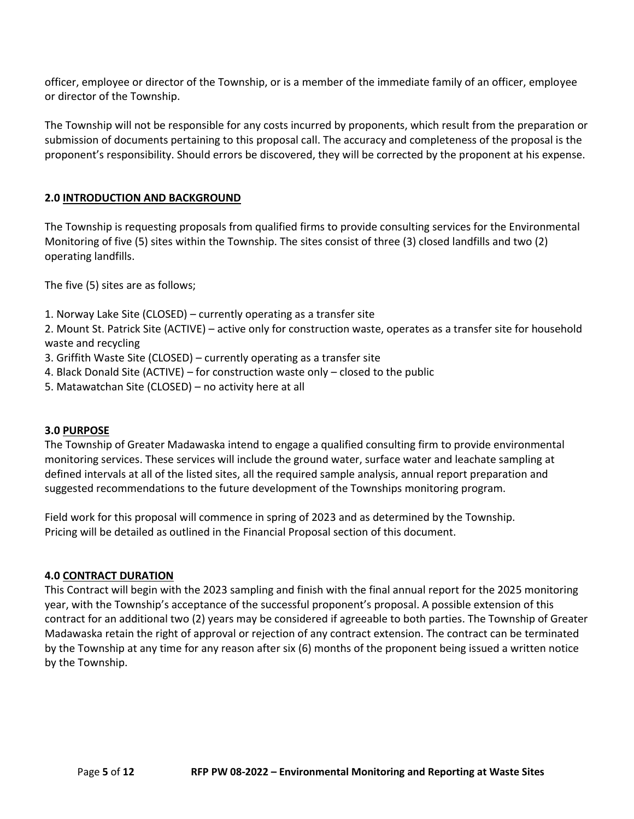officer, employee or director of the Township, or is a member of the immediate family of an officer, employee or director of the Township.

The Township will not be responsible for any costs incurred by proponents, which result from the preparation or submission of documents pertaining to this proposal call. The accuracy and completeness of the proposal is the proponent's responsibility. Should errors be discovered, they will be corrected by the proponent at his expense.

# **2.0 INTRODUCTION AND BACKGROUND**

The Township is requesting proposals from qualified firms to provide consulting services for the Environmental Monitoring of five (5) sites within the Township. The sites consist of three (3) closed landfills and two (2) operating landfills.

The five (5) sites are as follows;

1. Norway Lake Site (CLOSED) – currently operating as a transfer site

2. Mount St. Patrick Site (ACTIVE) – active only for construction waste, operates as a transfer site for household waste and recycling

- 3. Griffith Waste Site (CLOSED) currently operating as a transfer site
- 4. Black Donald Site (ACTIVE) for construction waste only closed to the public
- 5. Matawatchan Site (CLOSED) no activity here at all

#### **3.0 PURPOSE**

The Township of Greater Madawaska intend to engage a qualified consulting firm to provide environmental monitoring services. These services will include the ground water, surface water and leachate sampling at defined intervals at all of the listed sites, all the required sample analysis, annual report preparation and suggested recommendations to the future development of the Townships monitoring program.

Field work for this proposal will commence in spring of 2023 and as determined by the Township. Pricing will be detailed as outlined in the Financial Proposal section of this document.

#### **4.0 CONTRACT DURATION**

This Contract will begin with the 2023 sampling and finish with the final annual report for the 2025 monitoring year, with the Township's acceptance of the successful proponent's proposal. A possible extension of this contract for an additional two (2) years may be considered if agreeable to both parties. The Township of Greater Madawaska retain the right of approval or rejection of any contract extension. The contract can be terminated by the Township at any time for any reason after six (6) months of the proponent being issued a written notice by the Township.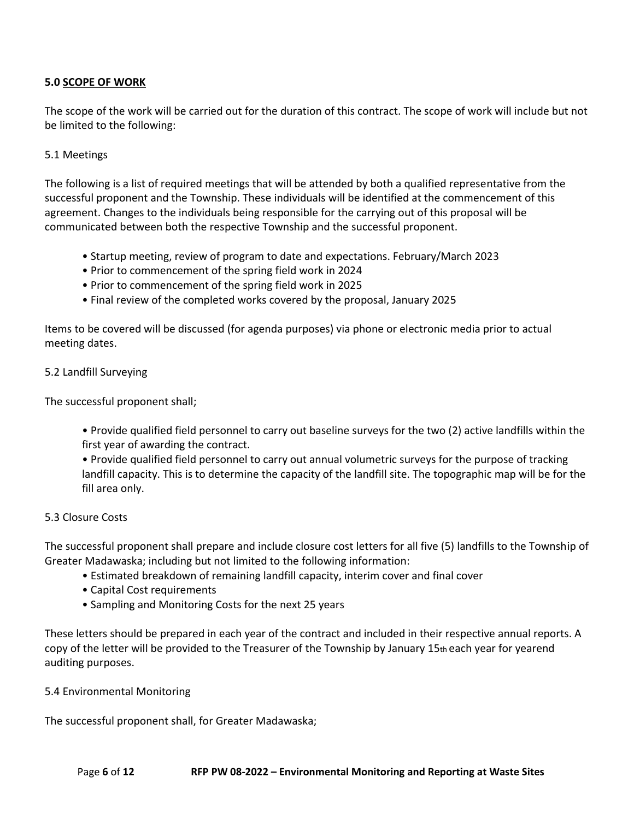# **5.0 SCOPE OF WORK**

The scope of the work will be carried out for the duration of this contract. The scope of work will include but not be limited to the following:

# 5.1 Meetings

The following is a list of required meetings that will be attended by both a qualified representative from the successful proponent and the Township. These individuals will be identified at the commencement of this agreement. Changes to the individuals being responsible for the carrying out of this proposal will be communicated between both the respective Township and the successful proponent.

- Startup meeting, review of program to date and expectations. February/March 2023
- Prior to commencement of the spring field work in 2024
- Prior to commencement of the spring field work in 2025
- Final review of the completed works covered by the proposal, January 2025

Items to be covered will be discussed (for agenda purposes) via phone or electronic media prior to actual meeting dates.

## 5.2 Landfill Surveying

The successful proponent shall;

• Provide qualified field personnel to carry out baseline surveys for the two (2) active landfills within the first year of awarding the contract.

• Provide qualified field personnel to carry out annual volumetric surveys for the purpose of tracking landfill capacity. This is to determine the capacity of the landfill site. The topographic map will be for the fill area only.

#### 5.3 Closure Costs

The successful proponent shall prepare and include closure cost letters for all five (5) landfills to the Township of Greater Madawaska; including but not limited to the following information:

- Estimated breakdown of remaining landfill capacity, interim cover and final cover
- Capital Cost requirements
- Sampling and Monitoring Costs for the next 25 years

These letters should be prepared in each year of the contract and included in their respective annual reports. A copy of the letter will be provided to the Treasurer of the Township by January 15th each year for yearend auditing purposes.

5.4 Environmental Monitoring

The successful proponent shall, for Greater Madawaska;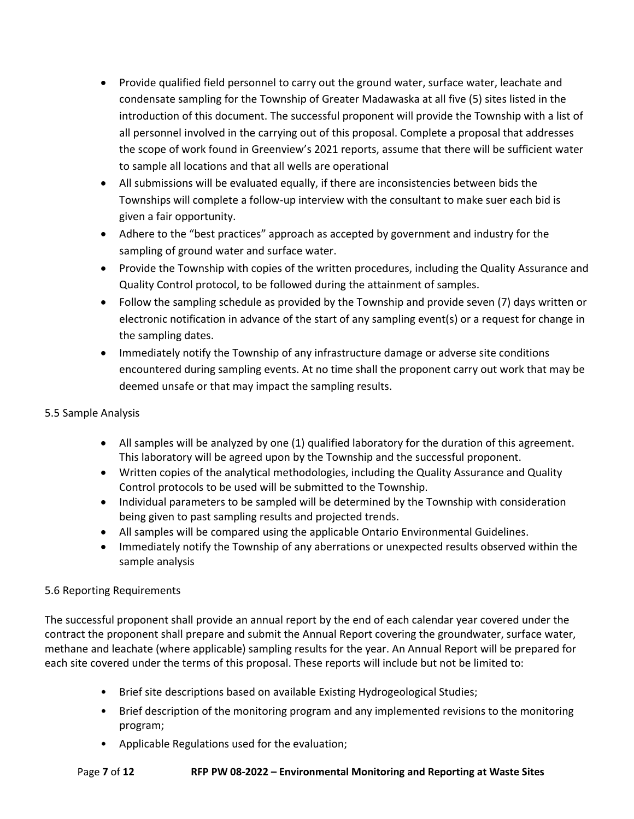- Provide qualified field personnel to carry out the ground water, surface water, leachate and condensate sampling for the Township of Greater Madawaska at all five (5) sites listed in the introduction of this document. The successful proponent will provide the Township with a list of all personnel involved in the carrying out of this proposal. Complete a proposal that addresses the scope of work found in Greenview's 2021 reports, assume that there will be sufficient water to sample all locations and that all wells are operational
- All submissions will be evaluated equally, if there are inconsistencies between bids the Townships will complete a follow-up interview with the consultant to make suer each bid is given a fair opportunity.
- Adhere to the "best practices" approach as accepted by government and industry for the sampling of ground water and surface water.
- Provide the Township with copies of the written procedures, including the Quality Assurance and Quality Control protocol, to be followed during the attainment of samples.
- Follow the sampling schedule as provided by the Township and provide seven (7) days written or electronic notification in advance of the start of any sampling event(s) or a request for change in the sampling dates.
- Immediately notify the Township of any infrastructure damage or adverse site conditions encountered during sampling events. At no time shall the proponent carry out work that may be deemed unsafe or that may impact the sampling results.
- 5.5 Sample Analysis
	- All samples will be analyzed by one (1) qualified laboratory for the duration of this agreement. This laboratory will be agreed upon by the Township and the successful proponent.
	- Written copies of the analytical methodologies, including the Quality Assurance and Quality Control protocols to be used will be submitted to the Township.
	- Individual parameters to be sampled will be determined by the Township with consideration being given to past sampling results and projected trends.
	- All samples will be compared using the applicable Ontario Environmental Guidelines.
	- Immediately notify the Township of any aberrations or unexpected results observed within the sample analysis

# 5.6 Reporting Requirements

The successful proponent shall provide an annual report by the end of each calendar year covered under the contract the proponent shall prepare and submit the Annual Report covering the groundwater, surface water, methane and leachate (where applicable) sampling results for the year. An Annual Report will be prepared for each site covered under the terms of this proposal. These reports will include but not be limited to:

- Brief site descriptions based on available Existing Hydrogeological Studies;
- Brief description of the monitoring program and any implemented revisions to the monitoring program;
- Applicable Regulations used for the evaluation;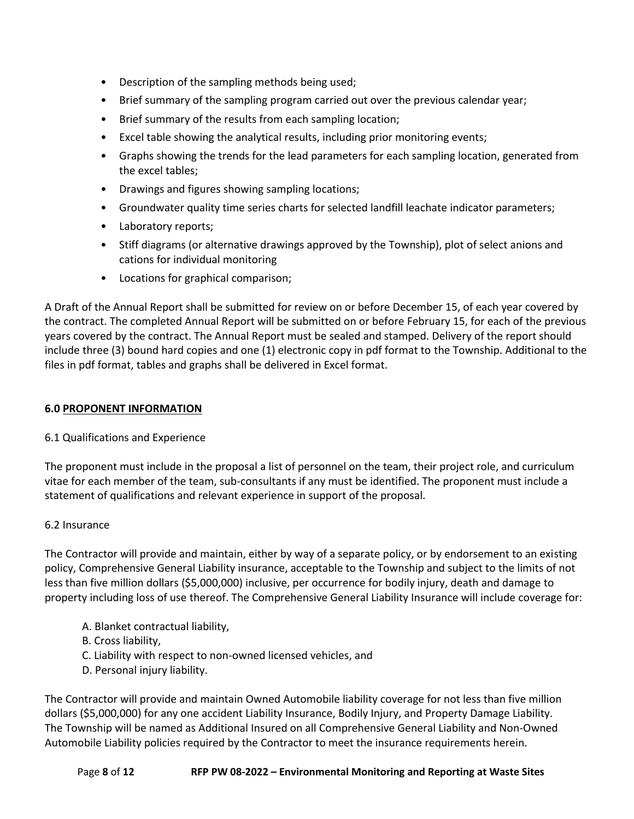- Description of the sampling methods being used;
- Brief summary of the sampling program carried out over the previous calendar year;
- Brief summary of the results from each sampling location;
- Excel table showing the analytical results, including prior monitoring events;
- Graphs showing the trends for the lead parameters for each sampling location, generated from the excel tables;
- Drawings and figures showing sampling locations;
- Groundwater quality time series charts for selected landfill leachate indicator parameters;
- Laboratory reports;
- Stiff diagrams (or alternative drawings approved by the Township), plot of select anions and cations for individual monitoring
- Locations for graphical comparison;

A Draft of the Annual Report shall be submitted for review on or before December 15, of each year covered by the contract. The completed Annual Report will be submitted on or before February 15, for each of the previous years covered by the contract. The Annual Report must be sealed and stamped. Delivery of the report should include three (3) bound hard copies and one (1) electronic copy in pdf format to the Township. Additional to the files in pdf format, tables and graphs shall be delivered in Excel format.

## **6.0 PROPONENT INFORMATION**

# 6.1 Qualifications and Experience

The proponent must include in the proposal a list of personnel on the team, their project role, and curriculum vitae for each member of the team, sub-consultants if any must be identified. The proponent must include a statement of qualifications and relevant experience in support of the proposal.

#### 6.2 Insurance

The Contractor will provide and maintain, either by way of a separate policy, or by endorsement to an existing policy, Comprehensive General Liability insurance, acceptable to the Township and subject to the limits of not less than five million dollars (\$5,000,000) inclusive, per occurrence for bodily injury, death and damage to property including loss of use thereof. The Comprehensive General Liability Insurance will include coverage for:

- A. Blanket contractual liability,
- B. Cross liability,
- C. Liability with respect to non-owned licensed vehicles, and
- D. Personal injury liability.

The Contractor will provide and maintain Owned Automobile liability coverage for not less than five million dollars (\$5,000,000) for any one accident Liability Insurance, Bodily Injury, and Property Damage Liability. The Township will be named as Additional Insured on all Comprehensive General Liability and Non-Owned Automobile Liability policies required by the Contractor to meet the insurance requirements herein.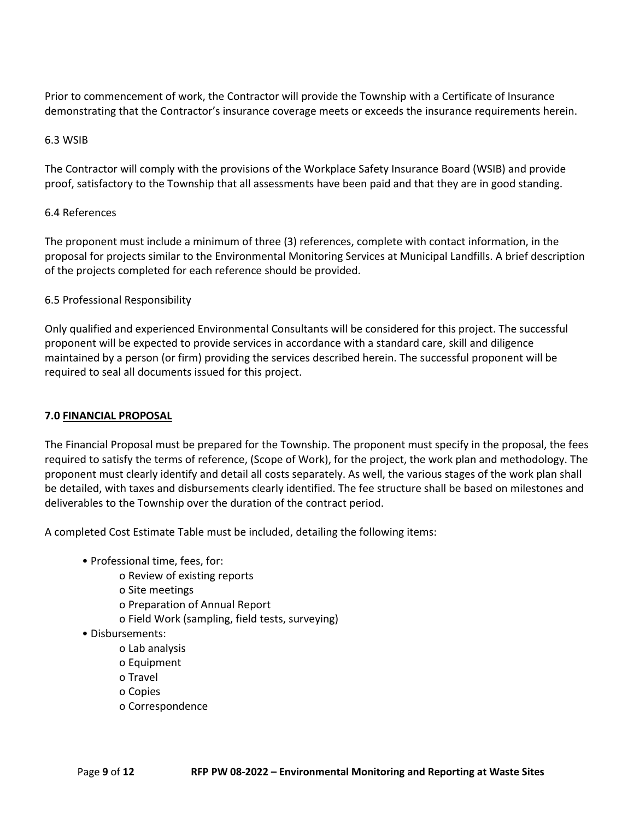Prior to commencement of work, the Contractor will provide the Township with a Certificate of Insurance demonstrating that the Contractor's insurance coverage meets or exceeds the insurance requirements herein.

# 6.3 WSIB

The Contractor will comply with the provisions of the Workplace Safety Insurance Board (WSIB) and provide proof, satisfactory to the Township that all assessments have been paid and that they are in good standing.

## 6.4 References

The proponent must include a minimum of three (3) references, complete with contact information, in the proposal for projects similar to the Environmental Monitoring Services at Municipal Landfills. A brief description of the projects completed for each reference should be provided.

# 6.5 Professional Responsibility

Only qualified and experienced Environmental Consultants will be considered for this project. The successful proponent will be expected to provide services in accordance with a standard care, skill and diligence maintained by a person (or firm) providing the services described herein. The successful proponent will be required to seal all documents issued for this project.

# **7.0 FINANCIAL PROPOSAL**

The Financial Proposal must be prepared for the Township. The proponent must specify in the proposal, the fees required to satisfy the terms of reference, (Scope of Work), for the project, the work plan and methodology. The proponent must clearly identify and detail all costs separately. As well, the various stages of the work plan shall be detailed, with taxes and disbursements clearly identified. The fee structure shall be based on milestones and deliverables to the Township over the duration of the contract period.

A completed Cost Estimate Table must be included, detailing the following items:

- Professional time, fees, for:
	- o Review of existing reports
	- o Site meetings
	- o Preparation of Annual Report
	- o Field Work (sampling, field tests, surveying)
- Disbursements:
	- o Lab analysis
	- o Equipment
	- o Travel
	- o Copies
	- o Correspondence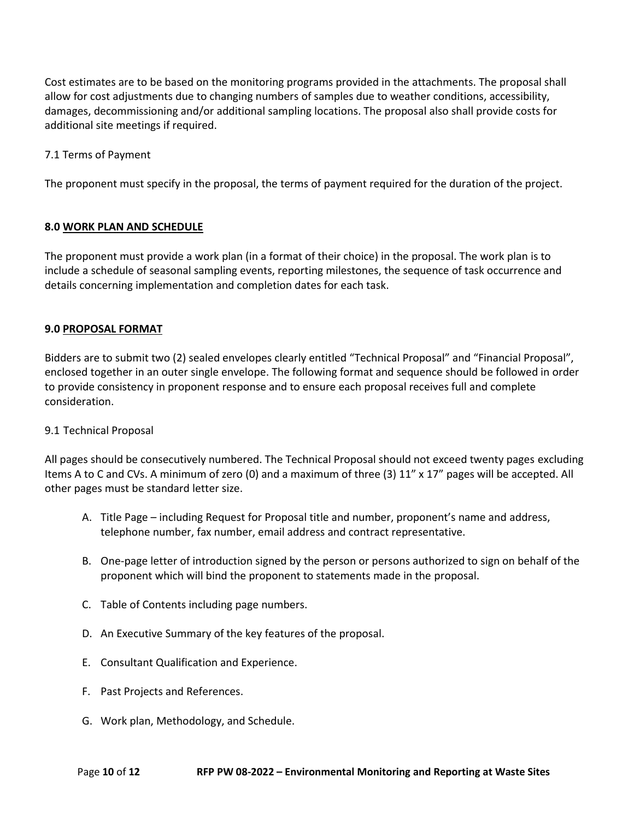Cost estimates are to be based on the monitoring programs provided in the attachments. The proposal shall allow for cost adjustments due to changing numbers of samples due to weather conditions, accessibility, damages, decommissioning and/or additional sampling locations. The proposal also shall provide costs for additional site meetings if required.

7.1 Terms of Payment

The proponent must specify in the proposal, the terms of payment required for the duration of the project.

## **8.0 WORK PLAN AND SCHEDULE**

The proponent must provide a work plan (in a format of their choice) in the proposal. The work plan is to include a schedule of seasonal sampling events, reporting milestones, the sequence of task occurrence and details concerning implementation and completion dates for each task.

## **9.0 PROPOSAL FORMAT**

Bidders are to submit two (2) sealed envelopes clearly entitled "Technical Proposal" and "Financial Proposal", enclosed together in an outer single envelope. The following format and sequence should be followed in order to provide consistency in proponent response and to ensure each proposal receives full and complete consideration.

#### 9.1 Technical Proposal

All pages should be consecutively numbered. The Technical Proposal should not exceed twenty pages excluding Items A to C and CVs. A minimum of zero (0) and a maximum of three (3) 11" x 17" pages will be accepted. All other pages must be standard letter size.

- A. Title Page including Request for Proposal title and number, proponent's name and address, telephone number, fax number, email address and contract representative.
- B. One-page letter of introduction signed by the person or persons authorized to sign on behalf of the proponent which will bind the proponent to statements made in the proposal.
- C. Table of Contents including page numbers.
- D. An Executive Summary of the key features of the proposal.
- E. Consultant Qualification and Experience.
- F. Past Projects and References.
- G. Work plan, Methodology, and Schedule.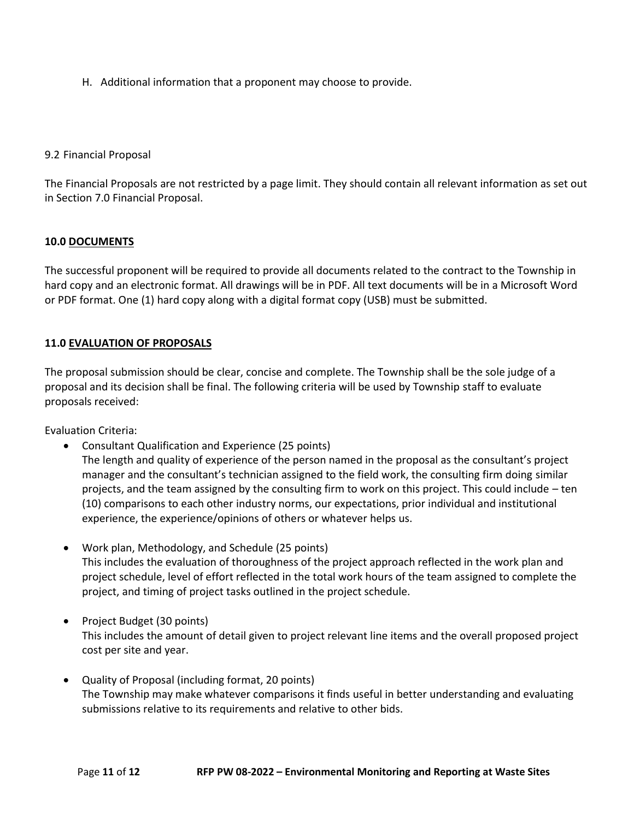H. Additional information that a proponent may choose to provide.

## 9.2 Financial Proposal

The Financial Proposals are not restricted by a page limit. They should contain all relevant information as set out in Section 7.0 Financial Proposal.

## **10.0 DOCUMENTS**

The successful proponent will be required to provide all documents related to the contract to the Township in hard copy and an electronic format. All drawings will be in PDF. All text documents will be in a Microsoft Word or PDF format. One (1) hard copy along with a digital format copy (USB) must be submitted.

# **11.0 EVALUATION OF PROPOSALS**

The proposal submission should be clear, concise and complete. The Township shall be the sole judge of a proposal and its decision shall be final. The following criteria will be used by Township staff to evaluate proposals received:

Evaluation Criteria:

• Consultant Qualification and Experience (25 points)

The length and quality of experience of the person named in the proposal as the consultant's project manager and the consultant's technician assigned to the field work, the consulting firm doing similar projects, and the team assigned by the consulting firm to work on this project. This could include – ten (10) comparisons to each other industry norms, our expectations, prior individual and institutional experience, the experience/opinions of others or whatever helps us.

- Work plan, Methodology, and Schedule (25 points) This includes the evaluation of thoroughness of the project approach reflected in the work plan and project schedule, level of effort reflected in the total work hours of the team assigned to complete the project, and timing of project tasks outlined in the project schedule.
- Project Budget (30 points) This includes the amount of detail given to project relevant line items and the overall proposed project cost per site and year.
- Quality of Proposal (including format, 20 points) The Township may make whatever comparisons it finds useful in better understanding and evaluating submissions relative to its requirements and relative to other bids.